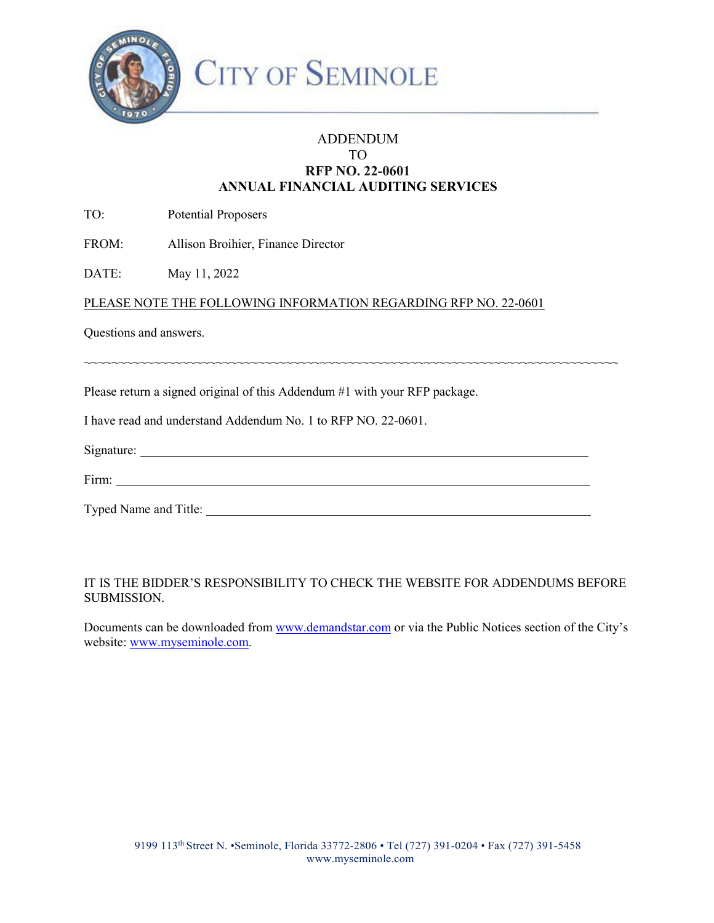

## ADDENDUM TO **RFP NO. 22-0601 ANNUAL FINANCIAL AUDITING SERVICES**

TO: Potential Proposers

FROM: Allison Broihier, Finance Director

DATE: May 11, 2022

## PLEASE NOTE THE FOLLOWING INFORMATION REGARDING RFP NO. 22-0601

Questions and answers.

Please return a signed original of this Addendum #1 with your RFP package.

I have read and understand Addendum No. 1 to RFP NO. 22-0601.

| Signature: |  |  |  |
|------------|--|--|--|
|            |  |  |  |
| Firm:      |  |  |  |

~~~~~~~~~~~~~~~~~~~~~~~~~~~~~~~~~~~~~~~~~~~~~~~~~~~~~~~~~~~~~~~~~~~~~~~~~~~~~

| $\mathbf{r}$<br>F1rm<br>.<br>------ |  |
|-------------------------------------|--|
|                                     |  |

Typed Name and Title:

## IT IS THE BIDDER'S RESPONSIBILITY TO CHECK THE WEBSITE FOR ADDENDUMS BEFORE SUBMISSION.

Documents can be downloaded from [www.demandstar.com o](http://www.demandstar.com/)r via the Public Notices section of the City's website: [www.myseminole.com.](http://www.myseminole.com/)